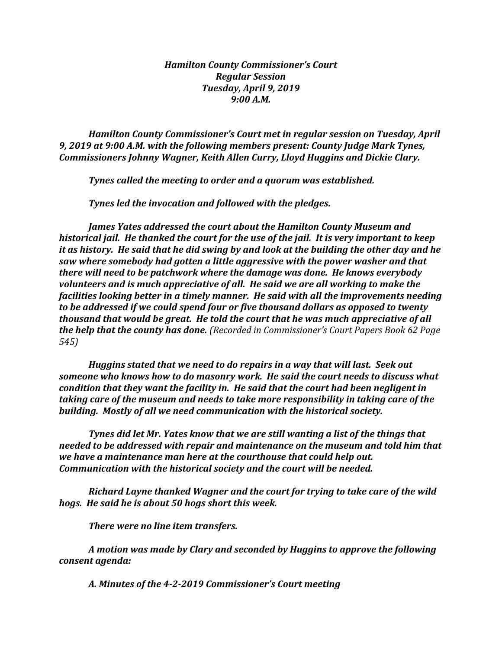## *Hamilton County Commissioner's Court Regular Session Tuesday, April 9, 2019 9:00 A.M.*

*Hamilton County Commissioner's Court met in regular session on Tuesday, April 9, 2019 at 9:00 A.M. with the following members present: County Judge Mark Tynes, Commissioners Johnny Wagner, Keith Allen Curry, Lloyd Huggins and Dickie Clary.*

*Tynes called the meeting to order and a quorum was established.*

*Tynes led the invocation and followed with the pledges.*

*James Yates addressed the court about the Hamilton County Museum and historical jail. He thanked the court for the use of the jail. It is very important to keep it as history. He said that he did swing by and look at the building the other day and he saw where somebody had gotten a little aggressive with the power washer and that there will need to be patchwork where the damage was done. He knows everybody volunteers and is much appreciative of all. He said we are all working to make the facilities looking better in a timely manner. He said with all the improvements needing to be addressed if we could spend four or five thousand dollars as opposed to twenty thousand that would be great. He told the court that he was much appreciative of all the help that the county has done. (Recorded in Commissioner's Court Papers Book 62 Page 545)*

*Huggins stated that we need to do repairs in a way that will last. Seek out someone who knows how to do masonry work. He said the court needs to discuss what condition that they want the facility in. He said that the court had been negligent in taking care of the museum and needs to take more responsibility in taking care of the building. Mostly of all we need communication with the historical society.*

*Tynes did let Mr. Yates know that we are still wanting a list of the things that needed to be addressed with repair and maintenance on the museum and told him that we have a maintenance man here at the courthouse that could help out. Communication with the historical society and the court will be needed.* 

*Richard Layne thanked Wagner and the court for trying to take care of the wild hogs. He said he is about 50 hogs short this week.*

*There were no line item transfers.*

*A motion was made by Clary and seconded by Huggins to approve the following consent agenda:*

*A. Minutes of the 4-2-2019 Commissioner's Court meeting*